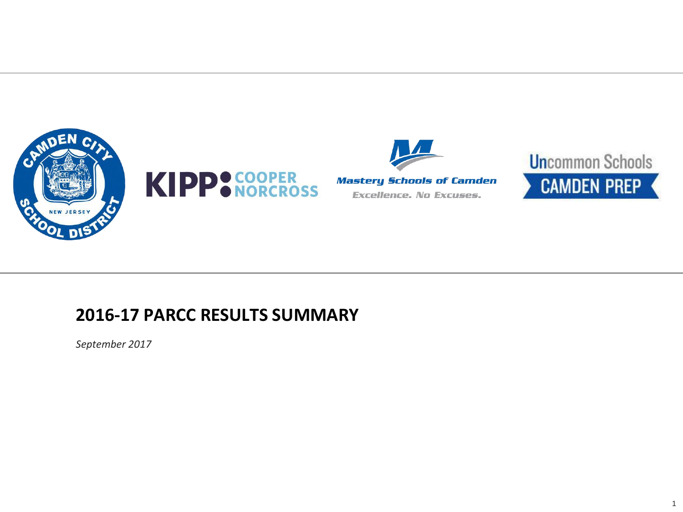





## **2016-17 PARCC RESULTS SUMMARY**

*September 2017*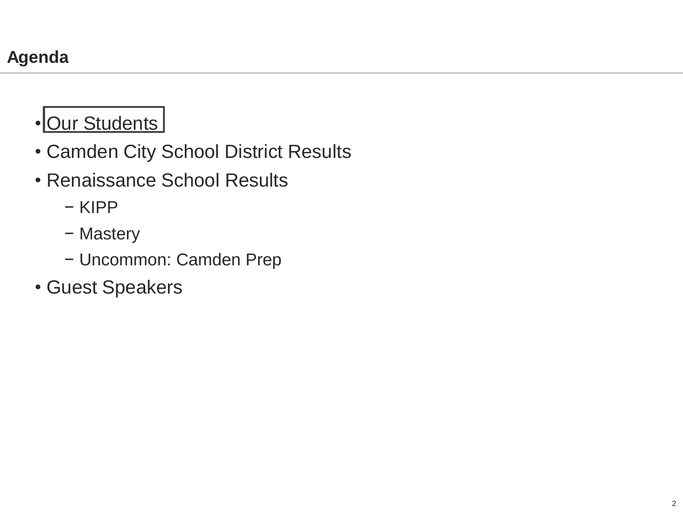# • Our Students

- Camden City School District Results
- Renaissance School Results
	- − KIPP
	- − Mastery
	- − Uncommon: Camden Prep
- Guest Speakers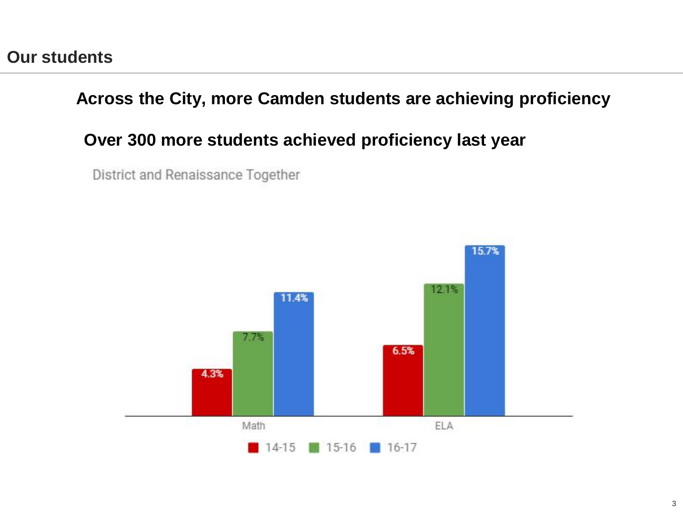### **Across the City, more Camden students are achieving proficiency**

## **Over 300 more students achieved proficiency last year**

District and Renaissance Together

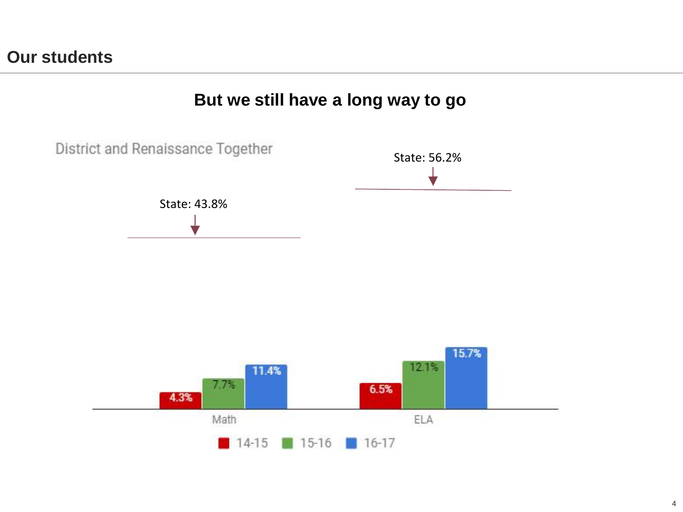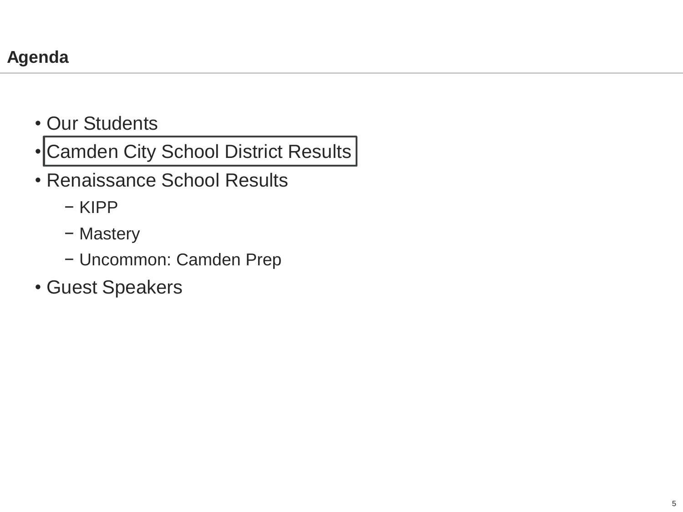- Our Students
- Camden City School District Results
- Renaissance School Results
	- − KIPP
	- − Mastery
	- − Uncommon: Camden Prep
- Guest Speakers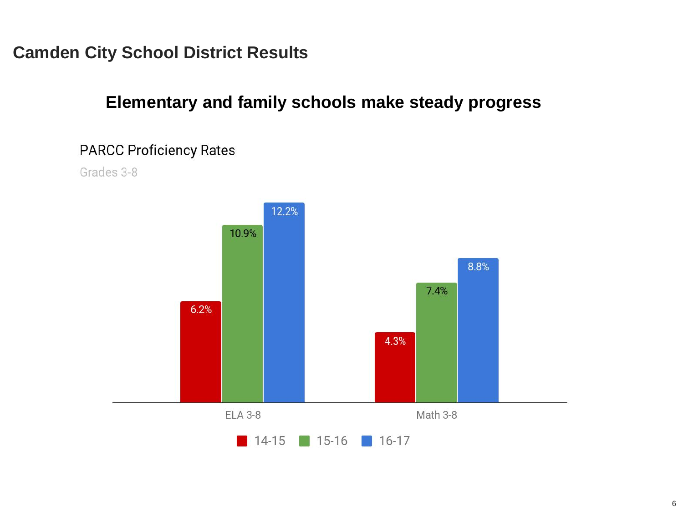## **Elementary and family schools make steady progress**

#### **PARCC Proficiency Rates**

Grades 3-8

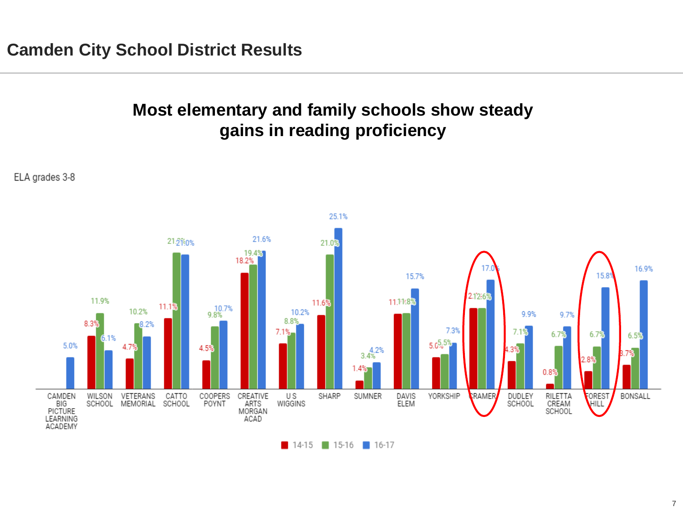## **Most elementary and family schools show steady gains in reading proficiency**

ELA grades 3-8



 $\blacksquare$  14-15  $\blacksquare$  15-16  $\blacksquare$  16-17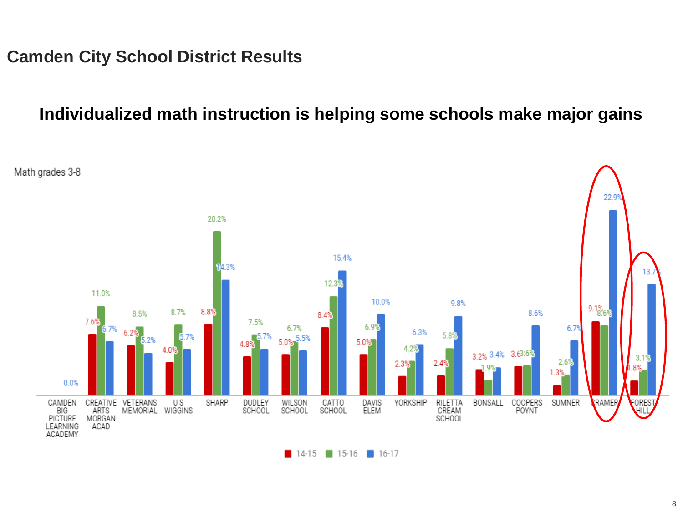#### **Individualized math instruction is helping some schools make major gains**



 $\blacksquare$  14-15  $\blacksquare$  15-16  $\blacksquare$  16-17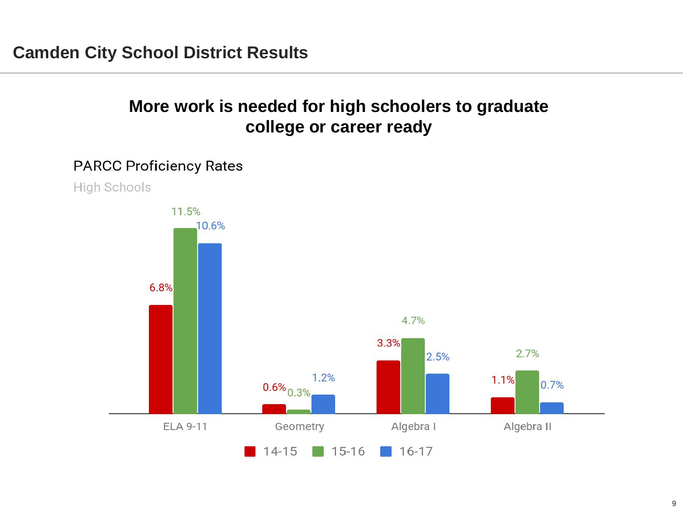# **More work is needed for high schoolers to graduate college or career ready**

#### **PARCC Proficiency Rates**

High Schools

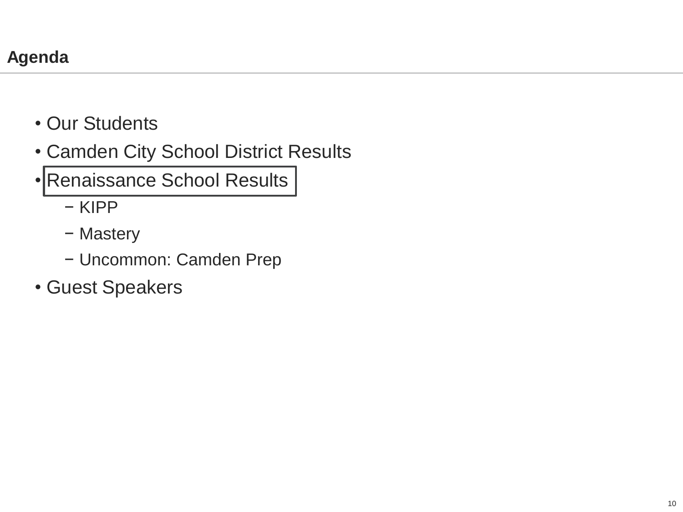- Our Students
- Camden City School District Results
- Renaissance School Results
	- − KIPP
	- − Mastery
	- − Uncommon: Camden Prep
- Guest Speakers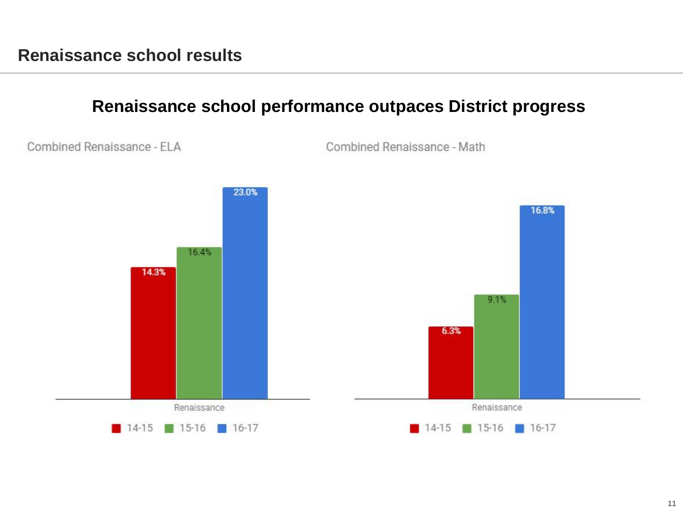## **Renaissance school performance outpaces District progress**

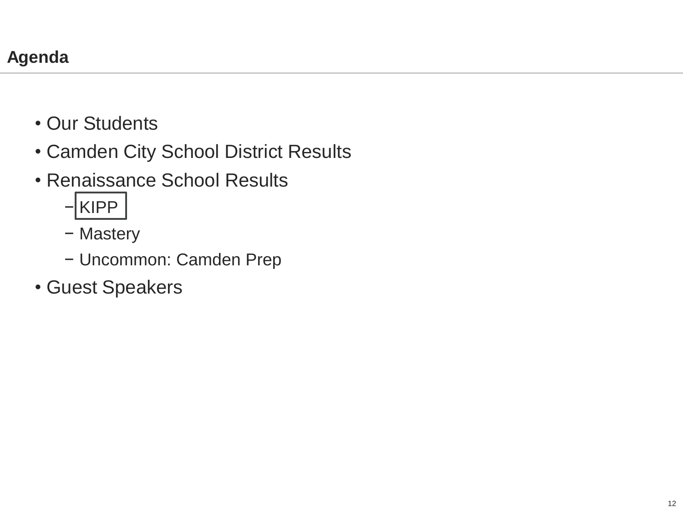- Our Students
- Camden City School District Results
- Renaissance School Results
	- − KIPP
	- − Mastery
	- − Uncommon: Camden Prep
- Guest Speakers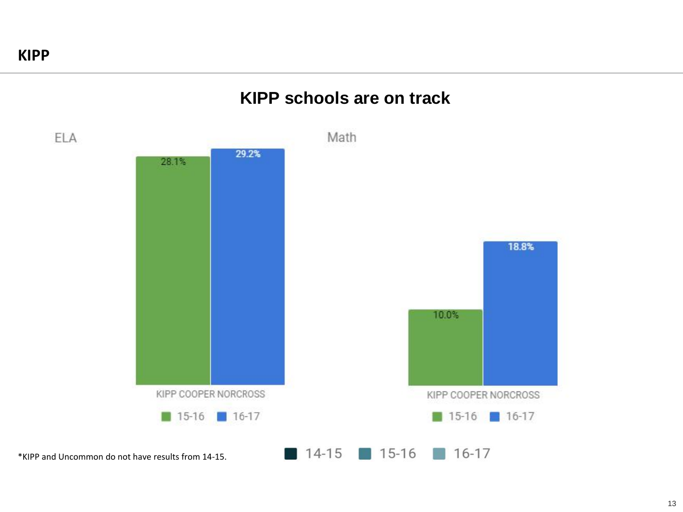### **KIPP schools are on track**

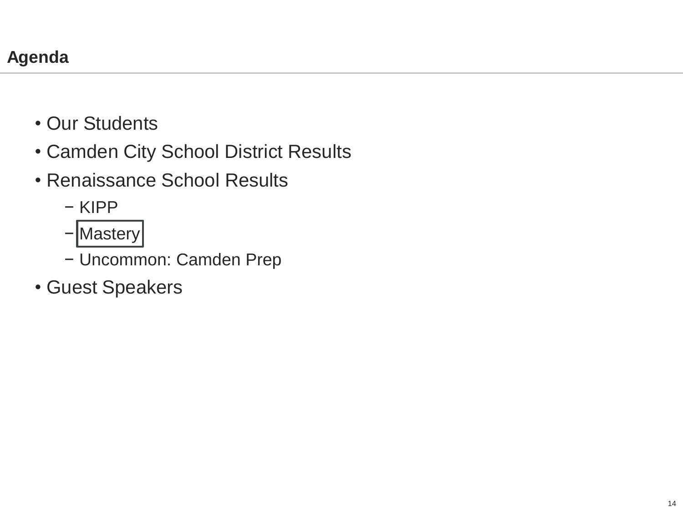- Our Students
- Camden City School District Results
- Renaissance School Results
	- − KIPP
	- − Mastery
	- − Uncommon: Camden Prep
- Guest Speakers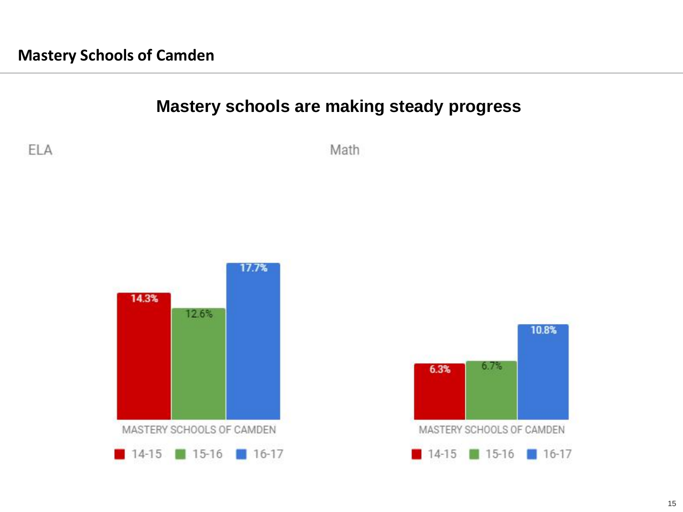## **Mastery schools are making steady progress**

**ELA** 

Math



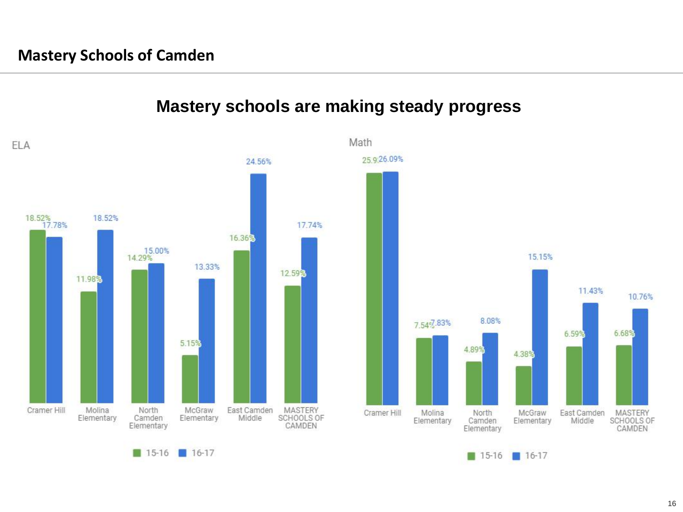

## **Mastery schools are making steady progress**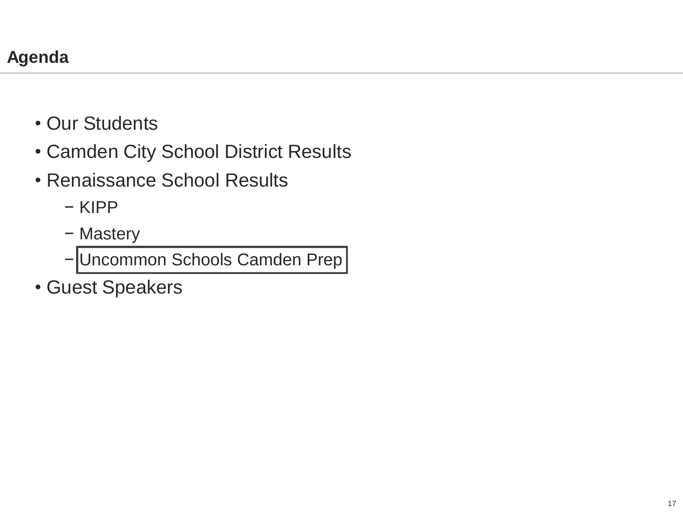- Our Students
- Camden City School District Results
- Renaissance School Results
	- − KIPP
	- − Mastery
	- − Uncommon Schools Camden Prep
- Guest Speakers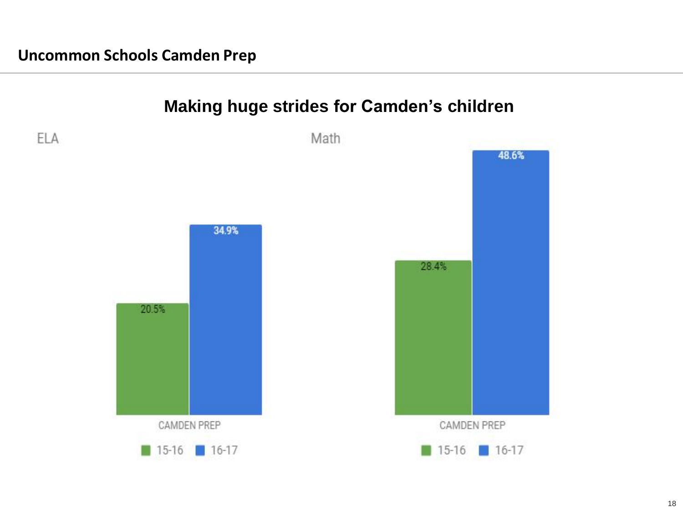